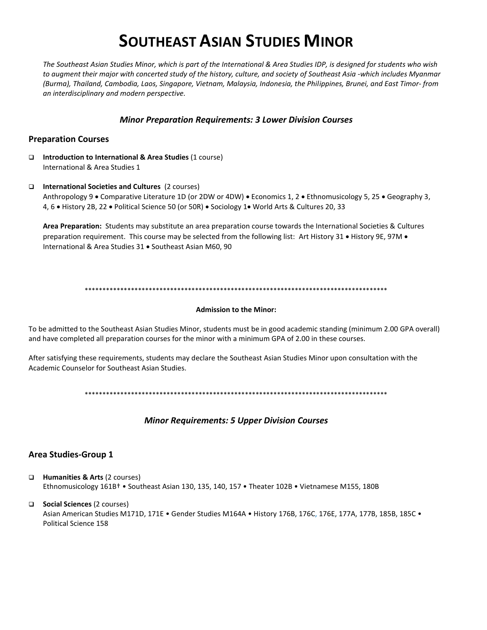# **SOUTHEAST ASIAN STUDIES MINOR**

The Southeast Asian Studies Minor, which is part of the International & Area Studies IDP, is designed for students who wish to augment their major with concerted study of the history, culture, and society of Southeast Asia -which includes Myanmar (Burma), Thailand, Cambodia, Laos, Singapore, Vietnam, Malaysia, Indonesia, the Philippines, Brunei, and East Timor-from an interdisciplinary and modern perspective.

## **Minor Preparation Requirements: 3 Lower Division Courses**

## **Preparation Courses**

- $\Box$ Introduction to International & Area Studies (1 course) International & Area Studies 1
- $\Box$  International Societies and Cultures (2 courses) Anthropology 9 . Comparative Literature 1D (or 2DW or 4DW) . Economics 1, 2 . Ethnomusicology 5, 25 . Geography 3, 4, 6 . History 2B, 22 . Political Science 50 (or 50R) . Sociology 1. World Arts & Cultures 20, 33

Area Preparation: Students may substitute an area preparation course towards the International Societies & Cultures preparation requirement. This course may be selected from the following list: Art History 31 . History 9E, 97M . International & Area Studies 31 . Southeast Asian M60, 90

#### **Admission to the Minor:**

To be admitted to the Southeast Asian Studies Minor, students must be in good academic standing (minimum 2.00 GPA overall) and have completed all preparation courses for the minor with a minimum GPA of 2.00 in these courses.

After satisfying these requirements, students may declare the Southeast Asian Studies Minor upon consultation with the Academic Counselor for Southeast Asian Studies.

## **Minor Requirements: 5 Upper Division Courses**

## **Area Studies-Group 1**

Humanities & Arts (2 courses)  $\Box$ Ethnomusicology 161B<sup>†</sup> • Southeast Asian 130, 135, 140, 157 • Theater 102B • Vietnamese M155, 180B

□ Social Sciences (2 courses) Asian American Studies M171D, 171E • Gender Studies M164A • History 176B, 176C, 176E, 177A, 177B, 185B, 185C • Political Science 158